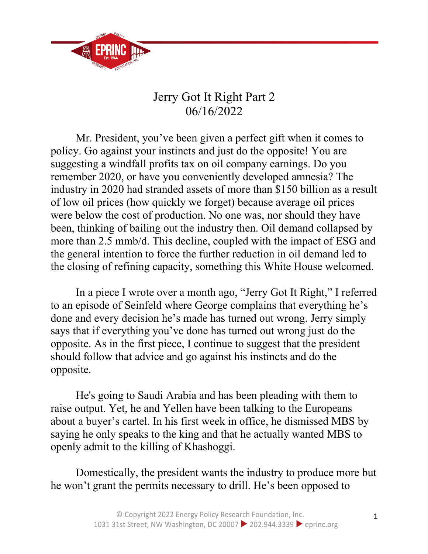

## Jerry Got It Right Part 2 06/16/2022

Mr. President, you've been given a perfect gift when it comes to policy. Go against your instincts and just do the opposite! You are suggesting a windfall profits tax on oil company earnings. Do you remember 2020, or have you conveniently developed amnesia? The industry in 2020 had stranded assets of more than \$150 billion as a result of low oil prices (how quickly we forget) because average oil prices were below the cost of production. No one was, nor should they have been, thinking of bailing out the industry then. Oil demand collapsed by more than 2.5 mmb/d. This decline, coupled with the impact of ESG and the general intention to force the further reduction in oil demand led to the closing of refining capacity, something this White House welcomed.

In a piece I wrote over a month ago, "Jerry Got It Right," I referred to an episode of Seinfeld where George complains that everything he's done and every decision he's made has turned out wrong. Jerry simply says that if everything you've done has turned out wrong just do the opposite. As in the first piece, I continue to suggest that the president should follow that advice and go against his instincts and do the opposite.

He's going to Saudi Arabia and has been pleading with them to raise output. Yet, he and Yellen have been talking to the Europeans about a buyer's cartel. In his first week in office, he dismissed MBS by saying he only speaks to the king and that he actually wanted MBS to openly admit to the killing of Khashoggi.

Domestically, the president wants the industry to produce more but he won't grant the permits necessary to drill. He's been opposed to